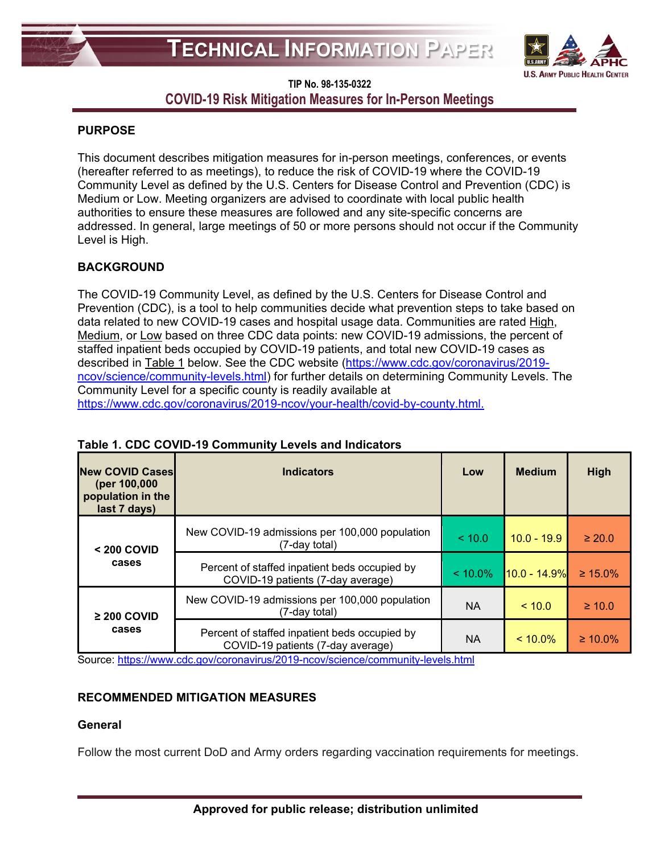

# **TIP No. 98-135-0322 COVID-19 Risk Mitigation Measures for In-Person Meetings**

### **PURPOSE**

This document describes mitigation measures for in-person meetings, conferences, or events (hereafter referred to as meetings), to reduce the risk of COVID-19 where the COVID-19 Community Level as defined by the U.S. Centers for Disease Control and Prevention (CDC) is Medium or Low. Meeting organizers are advised to coordinate with local public health authorities to ensure these measures are followed and any site-specific concerns are addressed. In general, large meetings of 50 or more persons should not occur if the Community Level is High.

## **BACKGROUND**

The COVID-19 Community Level, as defined by the U.S. Centers for Disease Control and Prevention (CDC), is a tool to help communities decide what prevention steps to take based on data related to new COVID-19 cases and hospital usage data. Communities are rated High, Medium, or Low based on three CDC data points: new COVID-19 admissions, the percent of staffed inpatient beds occupied by COVID-19 patients, and total new COVID-19 cases as described in Table 1 below. See the CDC website [\(https://www.cdc.gov/coronavirus/2019](https://www.cdc.gov/coronavirus/2019-ncov/science/community-levels.html) [ncov/science/community-levels.html\)](https://www.cdc.gov/coronavirus/2019-ncov/science/community-levels.html) for further details on determining Community Levels. The Community Level for a specific county is readily available at [https://www.cdc.gov/coronavirus/2019-ncov/your-health/covid-by-county.html.](https://www.cdc.gov/coronavirus/2019-ncov/your-health/covid-by-county.html)

| <b>New COVID Cases</b><br>(per 100,000<br>population in the<br>last 7 days) | <b>Indicators</b>                                                                  | Low        | <b>Medium</b>  | High          |
|-----------------------------------------------------------------------------|------------------------------------------------------------------------------------|------------|----------------|---------------|
| $< 200$ COVID<br>cases                                                      | New COVID-19 admissions per 100,000 population<br>(7-day total)                    | < 10.0     | $10.0 - 19.9$  | $\geq 20.0$   |
|                                                                             | Percent of staffed inpatient beds occupied by<br>COVID-19 patients (7-day average) | $< 10.0\%$ | $10.0 - 14.9%$ | $\geq 15.0\%$ |
| $\geq$ 200 COVID<br>cases                                                   | New COVID-19 admissions per 100,000 population<br>(7-day total)                    | <b>NA</b>  | ~10.0          | $\geq 10.0$   |
|                                                                             | Percent of staffed inpatient beds occupied by<br>COVID-19 patients (7-day average) | <b>NA</b>  | $< 10.0\%$     | $\geq 10.0\%$ |

### **Table 1. CDC COVID-19 Community Levels and Indicators**

Source:<https://www.cdc.gov/coronavirus/2019-ncov/science/community-levels.html>

#### **RECOMMENDED MITIGATION MEASURES**

#### **General**

Follow the most current DoD and Army orders regarding vaccination requirements for meetings.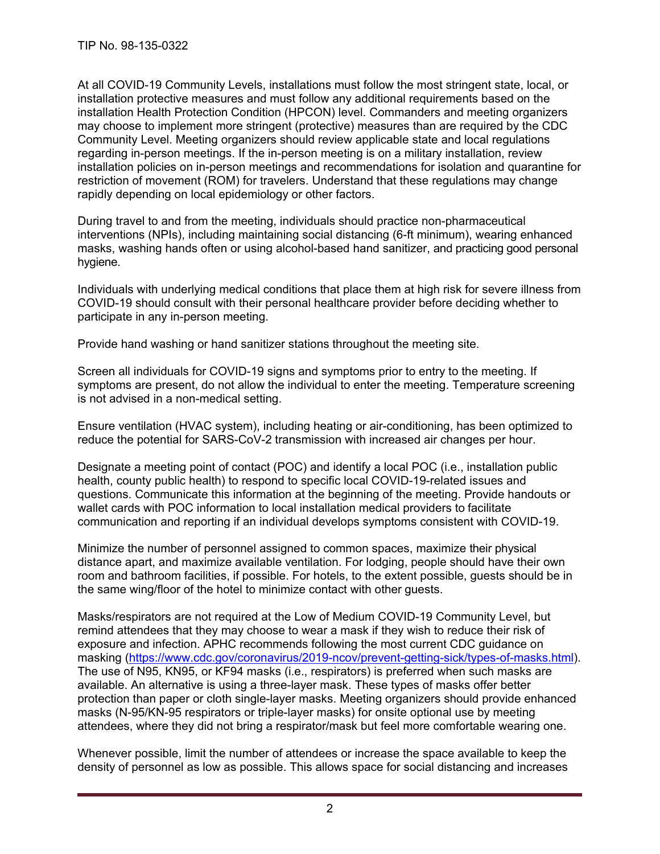At all COVID-19 Community Levels, installations must follow the most stringent state, local, or installation protective measures and must follow any additional requirements based on the installation Health Protection Condition (HPCON) level. Commanders and meeting organizers may choose to implement more stringent (protective) measures than are required by the CDC Community Level. Meeting organizers should review applicable state and local regulations regarding in-person meetings. If the in-person meeting is on a military installation, review installation policies on in-person meetings and recommendations for isolation and quarantine for restriction of movement (ROM) for travelers. Understand that these regulations may change rapidly depending on local epidemiology or other factors.

During travel to and from the meeting, individuals should practice non-pharmaceutical interventions (NPIs), including maintaining social distancing (6-ft minimum), wearing enhanced masks, washing hands often or using alcohol-based hand sanitizer, and practicing good personal hygiene.

Individuals with underlying medical conditions that place them at high risk for severe illness from COVID-19 should consult with their personal healthcare provider before deciding whether to participate in any in-person meeting.

Provide hand washing or hand sanitizer stations throughout the meeting site.

Screen all individuals for COVID-19 signs and symptoms prior to entry to the meeting. If symptoms are present, do not allow the individual to enter the meeting. Temperature screening is not advised in a non-medical setting.

Ensure ventilation (HVAC system), including heating or air-conditioning, has been optimized to reduce the potential for SARS-CoV-2 transmission with increased air changes per hour.

Designate a meeting point of contact (POC) and identify a local POC (i.e., installation public health, county public health) to respond to specific local COVID-19-related issues and questions. Communicate this information at the beginning of the meeting. Provide handouts or wallet cards with POC information to local installation medical providers to facilitate communication and reporting if an individual develops symptoms consistent with COVID-19.

Minimize the number of personnel assigned to common spaces, maximize their physical distance apart, and maximize available ventilation. For lodging, people should have their own room and bathroom facilities, if possible. For hotels, to the extent possible, guests should be in the same wing/floor of the hotel to minimize contact with other guests.

Masks/respirators are not required at the Low of Medium COVID-19 Community Level, but remind attendees that they may choose to wear a mask if they wish to reduce their risk of exposure and infection. APHC recommends following the most current CDC guidance on masking [\(https://www.cdc.gov/coronavirus/2019-ncov/prevent-getting-sick/types-of-masks.html\)](https://www.cdc.gov/coronavirus/2019-ncov/prevent-getting-sick/types-of-masks.html). The use of N95, KN95, or KF94 masks (i.e., respirators) is preferred when such masks are available. An alternative is using a three-layer mask. These types of masks offer better protection than paper or cloth single-layer masks. Meeting organizers should provide enhanced masks (N-95/KN-95 respirators or triple-layer masks) for onsite optional use by meeting attendees, where they did not bring a respirator/mask but feel more comfortable wearing one.

Whenever possible, limit the number of attendees or increase the space available to keep the density of personnel as low as possible. This allows space for social distancing and increases